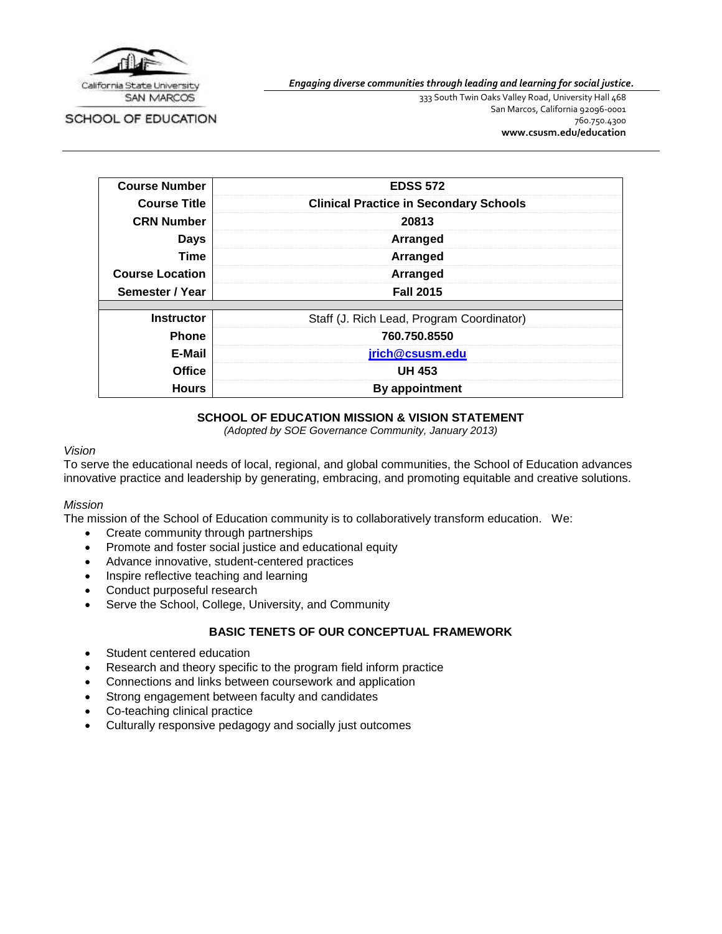

SCHOOL OF EDUCATION

*Engaging diverse communities through leading and learning for social justice.*

333 South Twin Oaks Valley Road, University Hall 468 San Marcos, California 92096-0001 760.750.4300 **[www.csusm.edu/education](http://www.csusm.edu/education)**

| <b>Course Number</b>   | <b>EDSS 572</b>                               |  |  |
|------------------------|-----------------------------------------------|--|--|
| <b>Course Title</b>    | <b>Clinical Practice in Secondary Schools</b> |  |  |
| <b>CRN Number</b>      | 20813                                         |  |  |
| <b>Days</b>            | Arranged                                      |  |  |
| Time                   | Arranged                                      |  |  |
| <b>Course Location</b> | Arranged                                      |  |  |
| Semester / Year        | <b>Fall 2015</b>                              |  |  |
|                        |                                               |  |  |
| <b>Instructor</b>      | Staff (J. Rich Lead, Program Coordinator)     |  |  |
| <b>Phone</b>           | 760.750.8550                                  |  |  |
| E-Mail                 | jrich@csusm.edu                               |  |  |
| <b>Office</b>          | <b>UH 453</b>                                 |  |  |
| <b>Hours</b>           | By appointment                                |  |  |

#### **SCHOOL OF EDUCATION MISSION & VISION STATEMENT**

*(Adopted by SOE Governance Community, January 2013)*

#### *Vision*

To serve the educational needs of local, regional, and global communities, the School of Education advances innovative practice and leadership by generating, embracing, and promoting equitable and creative solutions.

#### *Mission*

The mission of the School of Education community is to collaboratively transform education. We:

- Create community through partnerships
- Promote and foster social justice and educational equity
- Advance innovative, student-centered practices
- Inspire reflective teaching and learning
- Conduct purposeful research
- Serve the School, College, University, and Community

#### **BASIC TENETS OF OUR CONCEPTUAL FRAMEWORK**

- Student centered education
- Research and theory specific to the program field inform practice
- Connections and links between coursework and application
- Strong engagement between faculty and candidates
- Co-teaching clinical practice
- Culturally responsive pedagogy and socially just outcomes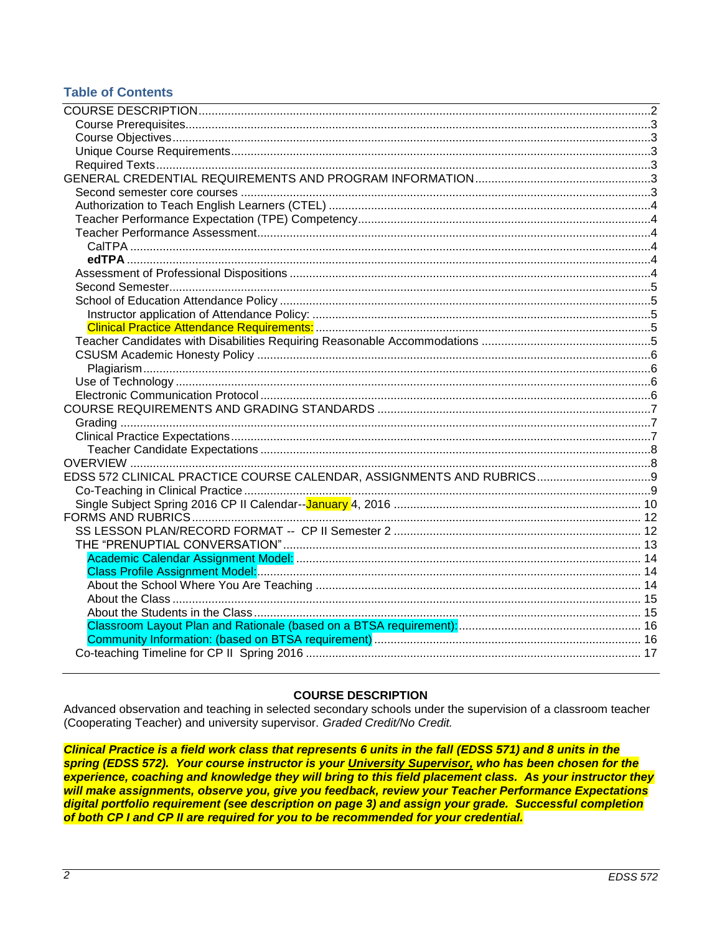## **Table of Contents**

| EDSS 572 CLINICAL PRACTICE COURSE CALENDAR, ASSIGNMENTS AND RUBRICS |  |
|---------------------------------------------------------------------|--|
|                                                                     |  |
|                                                                     |  |
|                                                                     |  |
|                                                                     |  |
|                                                                     |  |
|                                                                     |  |
|                                                                     |  |
|                                                                     |  |
|                                                                     |  |
|                                                                     |  |
|                                                                     |  |
|                                                                     |  |
|                                                                     |  |
|                                                                     |  |

## **COURSE DESCRIPTION**

<span id="page-1-0"></span>Advanced observation and teaching in selected secondary schools under the supervision of a classroom teacher (Cooperating Teacher) and university supervisor. Graded Credit/No Credit.

Clinical Practice is a field work class that represents 6 units in the fall (EDSS 571) and 8 units in the spring (EDSS 572). Your course instructor is your University Supervisor, who has been chosen for the experience, coaching and knowledge they will bring to this field placement class. As your instructor they will make assignments, observe you, give you feedback, review your Teacher Performance Expectations digital portfolio requirement (see description on page 3) and assign your grade. Successful completion of both CP I and CP II are required for you to be recommended for your credential.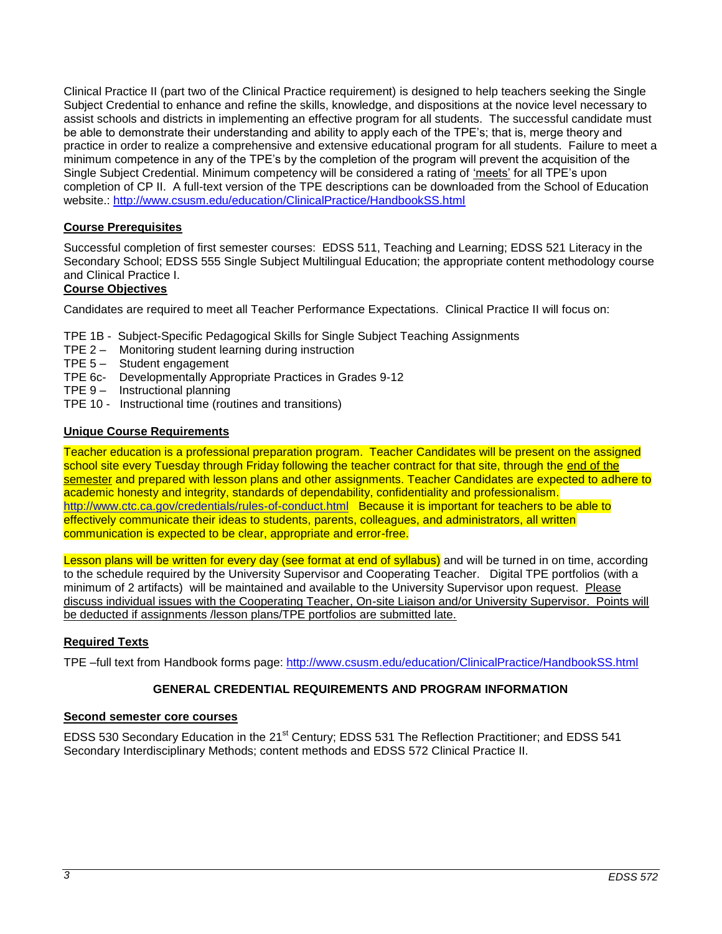Clinical Practice II (part two of the Clinical Practice requirement) is designed to help teachers seeking the Single Subject Credential to enhance and refine the skills, knowledge, and dispositions at the novice level necessary to assist schools and districts in implementing an effective program for all students. The successful candidate must be able to demonstrate their understanding and ability to apply each of the TPE's; that is, merge theory and practice in order to realize a comprehensive and extensive educational program for all students. Failure to meet a minimum competence in any of the TPE's by the completion of the program will prevent the acquisition of the Single Subject Credential. Minimum competency will be considered a rating of 'meets' for all TPE's upon completion of CP II. A full-text version of the TPE descriptions can be downloaded from the School of Education website.:<http://www.csusm.edu/education/ClinicalPractice/HandbookSS.html>

## <span id="page-2-0"></span>**Course Prerequisites**

Successful completion of first semester courses: EDSS 511, Teaching and Learning; EDSS 521 Literacy in the Secondary School; EDSS 555 Single Subject Multilingual Education; the appropriate content methodology course and Clinical Practice I.

## <span id="page-2-1"></span>**Course Objectives**

Candidates are required to meet all Teacher Performance Expectations. Clinical Practice II will focus on:

- TPE 1B Subject-Specific Pedagogical Skills for Single Subject Teaching Assignments
- TPE 2 Monitoring student learning during instruction
- TPE 5 Student engagement
- TPE 6c- Developmentally Appropriate Practices in Grades 9-12
- TPE 9 Instructional planning
- TPE 10 Instructional time (routines and transitions)

## <span id="page-2-2"></span>**Unique Course Requirements**

Teacher education is a professional preparation program. Teacher Candidates will be present on the assigned school site every Tuesday through Friday following the teacher contract for that site, through the end of the semester and prepared with lesson plans and other assignments. Teacher Candidates are expected to adhere to academic honesty and integrity, standards of dependability, confidentiality and professionalism. <http://www.ctc.ca.gov/credentials/rules-of-conduct.html>Because it is important for teachers to be able to effectively communicate their ideas to students, parents, colleagues, and administrators, all written communication is expected to be clear, appropriate and error-free.

Lesson plans will be written for every day (see format at end of syllabus) and will be turned in on time, according to the schedule required by the University Supervisor and Cooperating Teacher. Digital TPE portfolios (with a minimum of 2 artifacts) will be maintained and available to the University Supervisor upon request. Please discuss individual issues with the Cooperating Teacher, On-site Liaison and/or University Supervisor. Points will be deducted if assignments /lesson plans/TPE portfolios are submitted late.

## <span id="page-2-3"></span>**Required Texts**

<span id="page-2-4"></span>TPE –full text from Handbook forms page:<http://www.csusm.edu/education/ClinicalPractice/HandbookSS.html>

## **GENERAL CREDENTIAL REQUIREMENTS AND PROGRAM INFORMATION**

#### <span id="page-2-5"></span>**Second semester core courses**

<span id="page-2-6"></span>EDSS 530 Secondary Education in the 21<sup>st</sup> Century; EDSS 531 The Reflection Practitioner; and EDSS 541 Secondary Interdisciplinary Methods; content methods and EDSS 572 Clinical Practice II.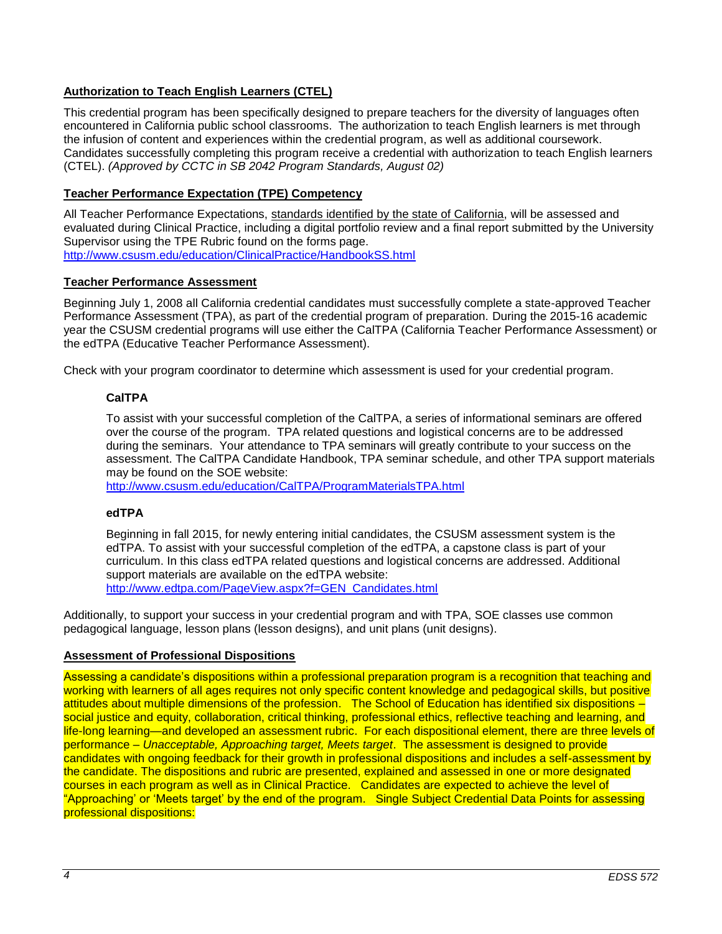## **Authorization to Teach English Learners (CTEL)**

This credential program has been specifically designed to prepare teachers for the diversity of languages often encountered in California public school classrooms. The authorization to teach English learners is met through the infusion of content and experiences within the credential program, as well as additional coursework. Candidates successfully completing this program receive a credential with authorization to teach English learners (CTEL). *(Approved by CCTC in SB 2042 Program Standards, August 02)*

## <span id="page-3-0"></span>**Teacher Performance Expectation (TPE) Competency**

All Teacher Performance Expectations, standards identified by the state of California, will be assessed and evaluated during Clinical Practice, including a digital portfolio review and a final report submitted by the University Supervisor using the TPE Rubric found on the forms page. <http://www.csusm.edu/education/ClinicalPractice/HandbookSS.html>

## <span id="page-3-1"></span>**Teacher Performance Assessment**

Beginning July 1, 2008 all California credential candidates must successfully complete a state-approved Teacher Performance Assessment (TPA), as part of the credential program of preparation. During the 2015-16 academic year the CSUSM credential programs will use either the CalTPA (California Teacher Performance Assessment) or the edTPA (Educative Teacher Performance Assessment).

<span id="page-3-2"></span>Check with your program coordinator to determine which assessment is used for your credential program.

## **CalTPA**

To assist with your successful completion of the CalTPA, a series of informational seminars are offered over the course of the program. TPA related questions and logistical concerns are to be addressed during the seminars. Your attendance to TPA seminars will greatly contribute to your success on the assessment. The CalTPA Candidate Handbook, TPA seminar schedule, and other TPA support materials may be found on the SOE website:

<http://www.csusm.edu/education/CalTPA/ProgramMaterialsTPA.html>

## <span id="page-3-3"></span>**edTPA**

Beginning in fall 2015, for newly entering initial candidates, the CSUSM assessment system is the edTPA. To assist with your successful completion of the edTPA, a capstone class is part of your curriculum. In this class edTPA related questions and logistical concerns are addressed. Additional support materials are available on the edTPA website: [http://www.edtpa.com/PageView.aspx?f=GEN\\_Candidates.html](http://www.edtpa.com/PageView.aspx?f=GEN_Candidates.html)

Additionally, to support your success in your credential program and with TPA, SOE classes use common pedagogical language, lesson plans (lesson designs), and unit plans (unit designs).

## <span id="page-3-4"></span>**Assessment of Professional Dispositions**

Assessing a candidate's dispositions within a professional preparation program is a recognition that teaching and working with learners of all ages requires not only specific content knowledge and pedagogical skills, but positive attitudes about multiple dimensions of the profession. The School of Education has identified six dispositions – social justice and equity, collaboration, critical thinking, professional ethics, reflective teaching and learning, and life-long learning—and developed an assessment rubric. For each dispositional element, there are three levels of performance – *Unacceptable, Approaching target, Meets target*. The assessment is designed to provide candidates with ongoing feedback for their growth in professional dispositions and includes a self-assessment by the candidate. The dispositions and rubric are presented, explained and assessed in one or more designated courses in each program as well as in Clinical Practice. Candidates are expected to achieve the level of "Approaching' or 'Meets target' by the end of the program. Single Subject Credential Data Points for assessing professional dispositions: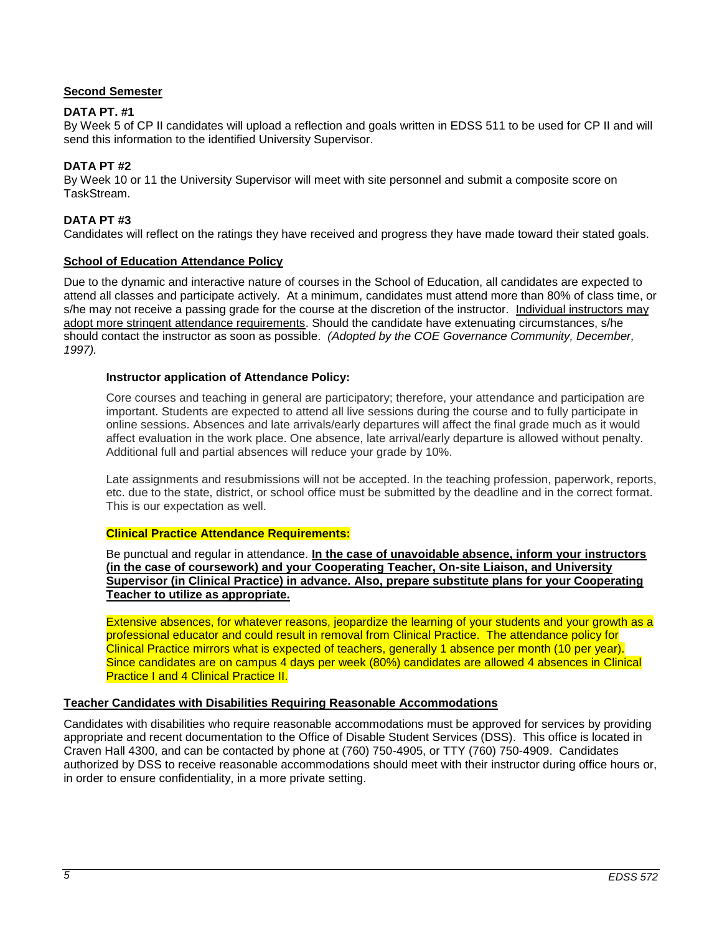## <span id="page-4-0"></span>**Second Semester**

#### **DATA PT. #1**

By Week 5 of CP II candidates will upload a reflection and goals written in EDSS 511 to be used for CP II and will send this information to the identified University Supervisor.

#### **DATA PT #2**

By Week 10 or 11 the University Supervisor will meet with site personnel and submit a composite score on TaskStream.

#### **DATA PT #3**

Candidates will reflect on the ratings they have received and progress they have made toward their stated goals.

#### <span id="page-4-1"></span>**School of Education Attendance Policy**

Due to the dynamic and interactive nature of courses in the School of Education, all candidates are expected to attend all classes and participate actively. At a minimum, candidates must attend more than 80% of class time, or s/he may not receive a passing grade for the course at the discretion of the instructor. Individual instructors may adopt more stringent attendance requirements. Should the candidate have extenuating circumstances, s/he should contact the instructor as soon as possible. *(Adopted by the COE Governance Community, December, 1997).*

#### <span id="page-4-2"></span>**Instructor application of Attendance Policy:**

Core courses and teaching in general are participatory; therefore, your attendance and participation are important. Students are expected to attend all live sessions during the course and to fully participate in online sessions. Absences and late arrivals/early departures will affect the final grade much as it would affect evaluation in the work place. One absence, late arrival/early departure is allowed without penalty. Additional full and partial absences will reduce your grade by 10%.

Late assignments and resubmissions will not be accepted. In the teaching profession, paperwork, reports, etc. due to the state, district, or school office must be submitted by the deadline and in the correct format. This is our expectation as well.

#### <span id="page-4-3"></span>**Clinical Practice Attendance Requirements:**

Be punctual and regular in attendance. **In the case of unavoidable absence, inform your instructors (in the case of coursework) and your Cooperating Teacher, On-site Liaison, and University Supervisor (in Clinical Practice) in advance. Also, prepare substitute plans for your Cooperating Teacher to utilize as appropriate.** 

Extensive absences, for whatever reasons, jeopardize the learning of your students and your growth as a professional educator and could result in removal from Clinical Practice. The attendance policy for Clinical Practice mirrors what is expected of teachers, generally 1 absence per month (10 per year). Since candidates are on campus 4 days per week (80%) candidates are allowed 4 absences in Clinical **Practice I and 4 Clinical Practice II.** 

#### <span id="page-4-4"></span>**Teacher Candidates with Disabilities Requiring Reasonable Accommodations**

<span id="page-4-5"></span>Candidates with disabilities who require reasonable accommodations must be approved for services by providing appropriate and recent documentation to the Office of Disable Student Services (DSS). This office is located in Craven Hall 4300, and can be contacted by phone at (760) 750-4905, or TTY (760) 750-4909. Candidates authorized by DSS to receive reasonable accommodations should meet with their instructor during office hours or, in order to ensure confidentiality, in a more private setting.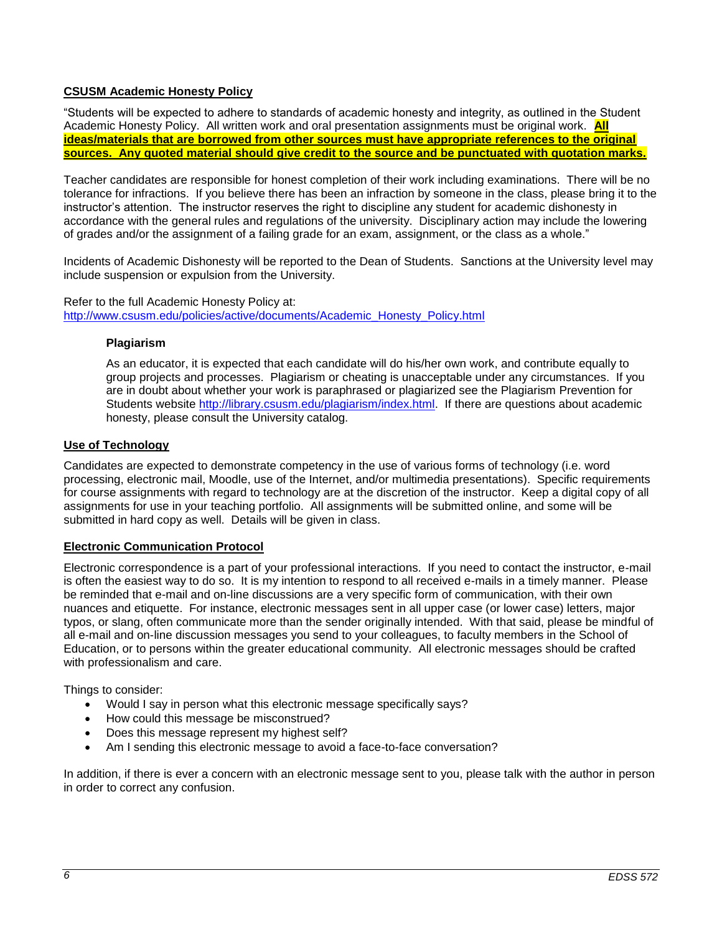## **CSUSM Academic Honesty Policy**

"Students will be expected to adhere to standards of academic honesty and integrity, as outlined in the Student Academic Honesty Policy. All written work and oral presentation assignments must be original work. **All ideas/materials that are borrowed from other sources must have appropriate references to the original sources. Any quoted material should give credit to the source and be punctuated with quotation marks.**

Teacher candidates are responsible for honest completion of their work including examinations. There will be no tolerance for infractions. If you believe there has been an infraction by someone in the class, please bring it to the instructor's attention. The instructor reserves the right to discipline any student for academic dishonesty in accordance with the general rules and regulations of the university. Disciplinary action may include the lowering of grades and/or the assignment of a failing grade for an exam, assignment, or the class as a whole."

Incidents of Academic Dishonesty will be reported to the Dean of Students. Sanctions at the University level may include suspension or expulsion from the University.

<span id="page-5-0"></span>Refer to the full Academic Honesty Policy at: [http://www.csusm.edu/policies/active/documents/Academic\\_Honesty\\_Policy.html](http://www.csusm.edu/policies/active/documents/Academic_Honesty_Policy.html)

#### **Plagiarism**

As an educator, it is expected that each candidate will do his/her own work, and contribute equally to group projects and processes. Plagiarism or cheating is unacceptable under any circumstances. If you are in doubt about whether your work is paraphrased or plagiarized see the Plagiarism Prevention for Students website [http://library.csusm.edu/plagiarism/index.html.](http://library.csusm.edu/plagiarism/index.html) If there are questions about academic honesty, please consult the University catalog.

## <span id="page-5-1"></span>**Use of Technology**

Candidates are expected to demonstrate competency in the use of various forms of technology (i.e. word processing, electronic mail, Moodle, use of the Internet, and/or multimedia presentations). Specific requirements for course assignments with regard to technology are at the discretion of the instructor. Keep a digital copy of all assignments for use in your teaching portfolio. All assignments will be submitted online, and some will be submitted in hard copy as well. Details will be given in class.

## <span id="page-5-2"></span>**Electronic Communication Protocol**

Electronic correspondence is a part of your professional interactions. If you need to contact the instructor, e-mail is often the easiest way to do so. It is my intention to respond to all received e-mails in a timely manner. Please be reminded that e-mail and on-line discussions are a very specific form of communication, with their own nuances and etiquette. For instance, electronic messages sent in all upper case (or lower case) letters, major typos, or slang, often communicate more than the sender originally intended. With that said, please be mindful of all e-mail and on-line discussion messages you send to your colleagues, to faculty members in the School of Education, or to persons within the greater educational community. All electronic messages should be crafted with professionalism and care.

Things to consider:

- Would I say in person what this electronic message specifically says?
- How could this message be misconstrued?
- Does this message represent my highest self?
- Am I sending this electronic message to avoid a face-to-face conversation?

<span id="page-5-3"></span>In addition, if there is ever a concern with an electronic message sent to you, please talk with the author in person in order to correct any confusion.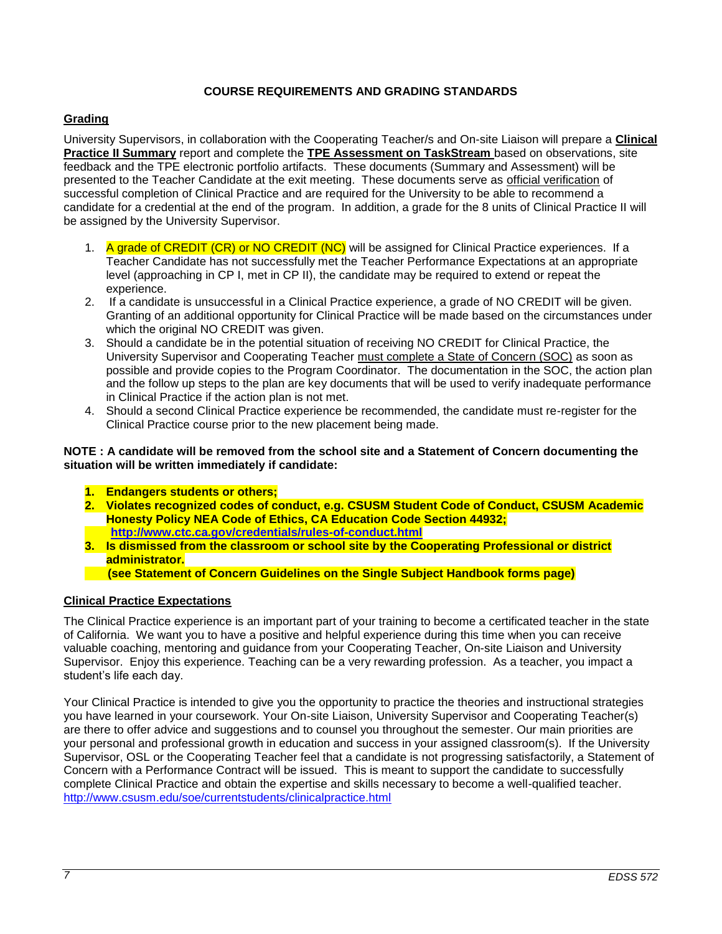## **COURSE REQUIREMENTS AND GRADING STANDARDS**

## <span id="page-6-0"></span>**Grading**

University Supervisors, in collaboration with the Cooperating Teacher/s and On-site Liaison will prepare a **Clinical Practice II Summary** report and complete the **TPE Assessment on TaskStream** based on observations, site feedback and the TPE electronic portfolio artifacts. These documents (Summary and Assessment) will be presented to the Teacher Candidate at the exit meeting. These documents serve as official verification of successful completion of Clinical Practice and are required for the University to be able to recommend a candidate for a credential at the end of the program. In addition, a grade for the 8 units of Clinical Practice II will be assigned by the University Supervisor.

- 1. A grade of CREDIT (CR) or NO CREDIT (NC) will be assigned for Clinical Practice experiences. If a Teacher Candidate has not successfully met the Teacher Performance Expectations at an appropriate level (approaching in CP I, met in CP II), the candidate may be required to extend or repeat the experience.
- 2. If a candidate is unsuccessful in a Clinical Practice experience, a grade of NO CREDIT will be given. Granting of an additional opportunity for Clinical Practice will be made based on the circumstances under which the original NO CREDIT was given.
- 3. Should a candidate be in the potential situation of receiving NO CREDIT for Clinical Practice, the University Supervisor and Cooperating Teacher must complete a State of Concern (SOC) as soon as possible and provide copies to the Program Coordinator. The documentation in the SOC, the action plan and the follow up steps to the plan are key documents that will be used to verify inadequate performance in Clinical Practice if the action plan is not met.
- 4. Should a second Clinical Practice experience be recommended, the candidate must re-register for the Clinical Practice course prior to the new placement being made.

#### **NOTE : A candidate will be removed from the school site and a Statement of Concern documenting the situation will be written immediately if candidate:**

- **1. Endangers students or others;**
- **2. Violates recognized codes of conduct, e.g. CSUSM Student Code of Conduct, CSUSM Academic Honesty Policy NEA Code of Ethics, CA Education Code Section 44932; <http://www.ctc.ca.gov/credentials/rules-of-conduct.html>**
- **3. Is dismissed from the classroom or school site by the Cooperating Professional or district administrator.**
	- **(see Statement of Concern Guidelines on the Single Subject Handbook forms page)**

## <span id="page-6-1"></span>**Clinical Practice Expectations**

The Clinical Practice experience is an important part of your training to become a certificated teacher in the state of California. We want you to have a positive and helpful experience during this time when you can receive valuable coaching, mentoring and guidance from your Cooperating Teacher, On-site Liaison and University Supervisor. Enjoy this experience. Teaching can be a very rewarding profession. As a teacher, you impact a student's life each day.

Your Clinical Practice is intended to give you the opportunity to practice the theories and instructional strategies you have learned in your coursework. Your On-site Liaison, University Supervisor and Cooperating Teacher(s) are there to offer advice and suggestions and to counsel you throughout the semester. Our main priorities are your personal and professional growth in education and success in your assigned classroom(s). If the University Supervisor, OSL or the Cooperating Teacher feel that a candidate is not progressing satisfactorily, a Statement of Concern with a Performance Contract will be issued. This is meant to support the candidate to successfully complete Clinical Practice and obtain the expertise and skills necessary to become a well-qualified teacher. <http://www.csusm.edu/soe/currentstudents/clinicalpractice.html>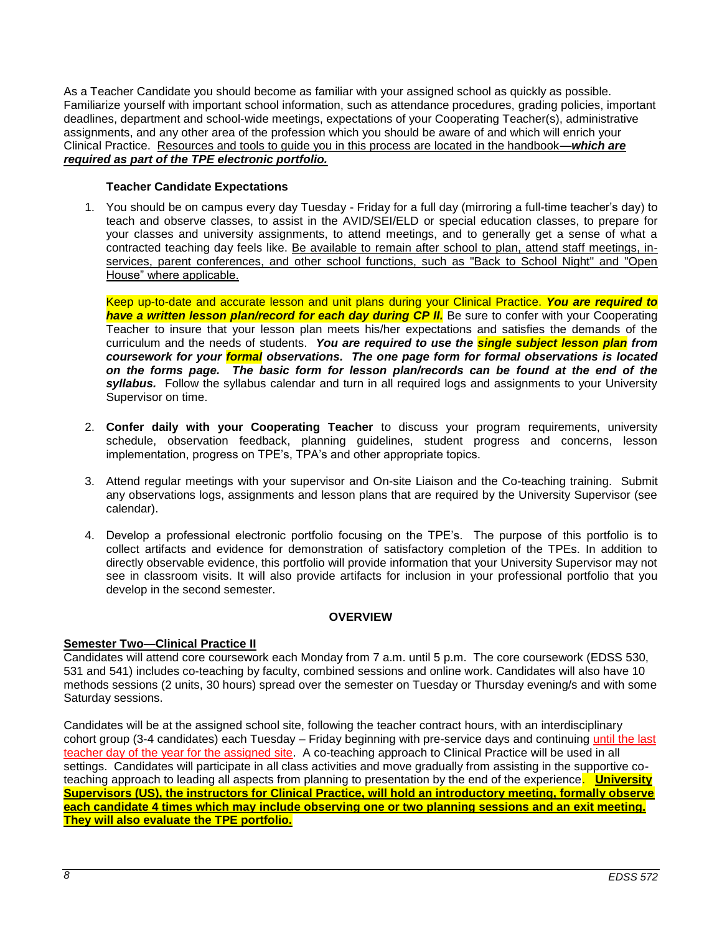As a Teacher Candidate you should become as familiar with your assigned school as quickly as possible. Familiarize yourself with important school information, such as attendance procedures, grading policies, important deadlines, department and school-wide meetings, expectations of your Cooperating Teacher(s), administrative assignments, and any other area of the profession which you should be aware of and which will enrich your Clinical Practice. Resources and tools to guide you in this process are located in the handbook**—***which are required as part of the TPE electronic portfolio.*

#### **Teacher Candidate Expectations**

<span id="page-7-0"></span>1. You should be on campus every day Tuesday - Friday for a full day (mirroring a full-time teacher's day) to teach and observe classes, to assist in the AVID/SEI/ELD or special education classes, to prepare for your classes and university assignments, to attend meetings, and to generally get a sense of what a contracted teaching day feels like. Be available to remain after school to plan, attend staff meetings, inservices, parent conferences, and other school functions, such as "Back to School Night" and "Open House" where applicable.

Keep up-to-date and accurate lesson and unit plans during your Clinical Practice. *You are required to have a written lesson plan/record for each day during CP II.* Be sure to confer with your Cooperating Teacher to insure that your lesson plan meets his/her expectations and satisfies the demands of the curriculum and the needs of students. *You are required to use the single subject lesson plan from coursework for your formal observations. The one page form for formal observations is located on the forms page. The basic form for lesson plan/records can be found at the end of the syllabus.* Follow the syllabus calendar and turn in all required logs and assignments to your University Supervisor on time.

- 2. **Confer daily with your Cooperating Teacher** to discuss your program requirements, university schedule, observation feedback, planning guidelines, student progress and concerns, lesson implementation, progress on TPE's, TPA's and other appropriate topics.
- 3. Attend regular meetings with your supervisor and On-site Liaison and the Co-teaching training. Submit any observations logs, assignments and lesson plans that are required by the University Supervisor (see calendar).
- 4. Develop a professional electronic portfolio focusing on the TPE's. The purpose of this portfolio is to collect artifacts and evidence for demonstration of satisfactory completion of the TPEs. In addition to directly observable evidence, this portfolio will provide information that your University Supervisor may not see in classroom visits. It will also provide artifacts for inclusion in your professional portfolio that you develop in the second semester.

## **OVERVIEW**

#### <span id="page-7-1"></span>**Semester Two—Clinical Practice II**

Candidates will attend core coursework each Monday from 7 a.m. until 5 p.m. The core coursework (EDSS 530, 531 and 541) includes co-teaching by faculty, combined sessions and online work. Candidates will also have 10 methods sessions (2 units, 30 hours) spread over the semester on Tuesday or Thursday evening/s and with some Saturday sessions.

Candidates will be at the assigned school site, following the teacher contract hours, with an interdisciplinary cohort group (3-4 candidates) each Tuesday – Friday beginning with pre-service days and continuing until the last teacher day of the year for the assigned site. A co-teaching approach to Clinical Practice will be used in all settings. Candidates will participate in all class activities and move gradually from assisting in the supportive coteaching approach to leading all aspects from planning to presentation by the end of the experience. **University Supervisors (US), the instructors for Clinical Practice, will hold an introductory meeting, formally observe each candidate 4 times which may include observing one or two planning sessions and an exit meeting. They will also evaluate the TPE portfolio.**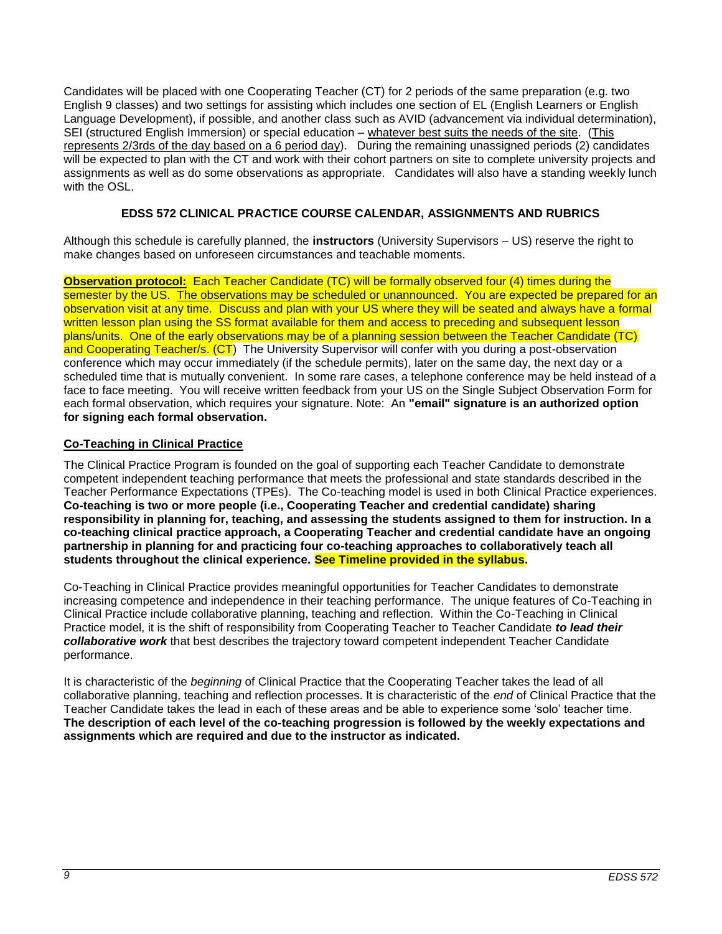Candidates will be placed with one Cooperating Teacher (CT) for 2 periods of the same preparation (e.g. two English 9 classes) and two settings for assisting which includes one section of EL (English Learners or English Language Development), if possible, and another class such as AVID (advancement via individual determination), SEI (structured English Immersion) or special education – whatever best suits the needs of the site. (This represents 2/3rds of the day based on a 6 period day). During the remaining unassigned periods (2) candidates will be expected to plan with the CT and work with their cohort partners on site to complete university projects and assignments as well as do some observations as appropriate. Candidates will also have a standing weekly lunch with the OSL.

## **EDSS 572 CLINICAL PRACTICE COURSE CALENDAR, ASSIGNMENTS AND RUBRICS**

<span id="page-8-0"></span>Although this schedule is carefully planned, the **instructors** (University Supervisors – US) reserve the right to make changes based on unforeseen circumstances and teachable moments.

**Observation protocol:** Each Teacher Candidate (TC) will be formally observed four (4) times during the semester by the US. The observations may be scheduled or unannounced. You are expected be prepared for an observation visit at any time. Discuss and plan with your US where they will be seated and always have a formal written lesson plan using the SS format available for them and access to preceding and subsequent lesson plans/units. One of the early observations may be of a planning session between the Teacher Candidate (TC) and Cooperating Teacher/s. (CT) The University Supervisor will confer with you during a post-observation conference which may occur immediately (if the schedule permits), later on the same day, the next day or a scheduled time that is mutually convenient. In some rare cases, a telephone conference may be held instead of a face to face meeting. You will receive written feedback from your US on the Single Subject Observation Form for each formal observation, which requires your signature. Note: An **"email" signature is an authorized option for signing each formal observation.**

## <span id="page-8-1"></span>**Co-Teaching in Clinical Practice**

The Clinical Practice Program is founded on the goal of supporting each Teacher Candidate to demonstrate competent independent teaching performance that meets the professional and state standards described in the Teacher Performance Expectations (TPEs). The Co-teaching model is used in both Clinical Practice experiences. **Co-teaching is two or more people (i.e., Cooperating Teacher and credential candidate) sharing responsibility in planning for, teaching, and assessing the students assigned to them for instruction. In a co-teaching clinical practice approach, a Cooperating Teacher and credential candidate have an ongoing partnership in planning for and practicing four co-teaching approaches to collaboratively teach all students throughout the clinical experience. See Timeline provided in the syllabus.**

Co-Teaching in Clinical Practice provides meaningful opportunities for Teacher Candidates to demonstrate increasing competence and independence in their teaching performance. The unique features of Co-Teaching in Clinical Practice include collaborative planning, teaching and reflection. Within the Co-Teaching in Clinical Practice model, it is the shift of responsibility from Cooperating Teacher to Teacher Candidate *to lead their collaborative work* that best describes the trajectory toward competent independent Teacher Candidate performance.

It is characteristic of the *beginning* of Clinical Practice that the Cooperating Teacher takes the lead of all collaborative planning, teaching and reflection processes. It is characteristic of the *end* of Clinical Practice that the Teacher Candidate takes the lead in each of these areas and be able to experience some 'solo' teacher time. **The description of each level of the co-teaching progression is followed by the weekly expectations and assignments which are required and due to the instructor as indicated.**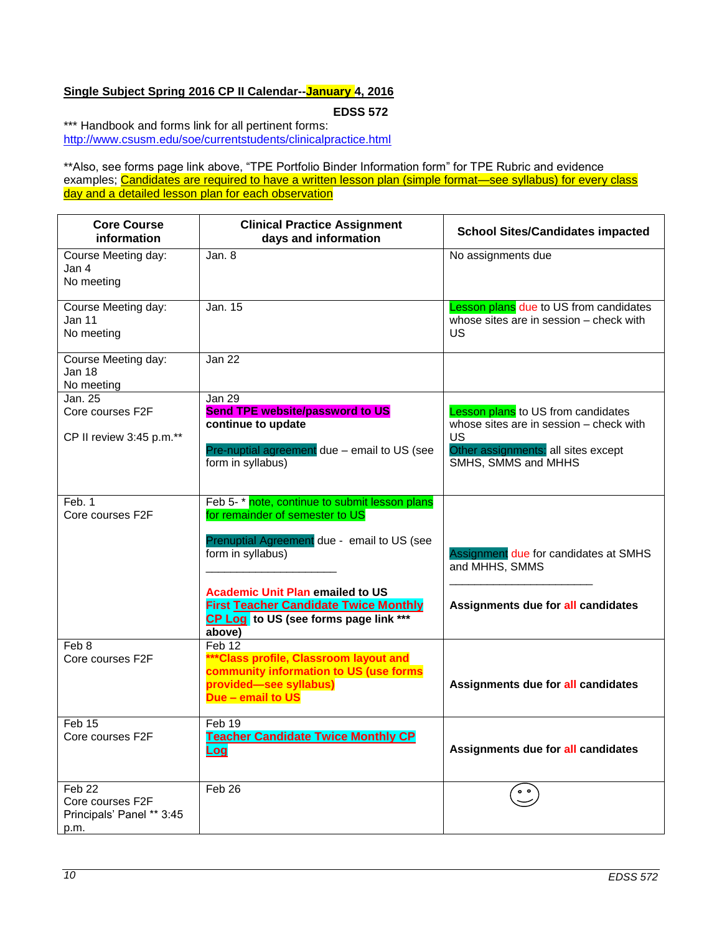## <span id="page-9-0"></span>**Single Subject Spring 2016 CP II Calendar--January 4, 2016**

**EDSS 572**

\*\*\* Handbook and forms link for all pertinent forms: <http://www.csusm.edu/soe/currentstudents/clinicalpractice.html>

\*\*Also, see forms page link above, "TPE Portfolio Binder Information form" for TPE Rubric and evidence examples; Candidates are required to have a written lesson plan (simple format—see syllabus) for every class day and a detailed lesson plan for each observation

| <b>Core Course</b><br>information                               | <b>Clinical Practice Assignment</b><br>days and information                                                                                                                                                                                                                                        | <b>School Sites/Candidates impacted</b>                                                                                                                                |
|-----------------------------------------------------------------|----------------------------------------------------------------------------------------------------------------------------------------------------------------------------------------------------------------------------------------------------------------------------------------------------|------------------------------------------------------------------------------------------------------------------------------------------------------------------------|
| Course Meeting day:<br>Jan 4<br>No meeting                      | Jan. 8                                                                                                                                                                                                                                                                                             | No assignments due                                                                                                                                                     |
| Course Meeting day:<br>Jan 11<br>No meeting                     | Jan. 15                                                                                                                                                                                                                                                                                            | <b>Lesson plans due to US from candidates</b><br>whose sites are in session - check with<br>US                                                                         |
| Course Meeting day:<br>Jan 18<br>No meeting                     | Jan <sub>22</sub>                                                                                                                                                                                                                                                                                  |                                                                                                                                                                        |
| Jan. 25<br>Core courses F2F<br>CP II review 3:45 p.m.**         | <b>Jan 29</b><br><b>Send TPE website/password to US</b><br>continue to update<br>Pre-nuptial agreement due - email to US (see<br>form in syllabus)                                                                                                                                                 | <b>Lesson plans</b> to US from candidates<br>whose sites are in session - check with<br><b>US</b><br>Other assignments: all sites except<br><b>SMHS, SMMS and MHHS</b> |
| Feb. 1<br>Core courses F2F                                      | Feb 5-* note, continue to submit lesson plans<br>for remainder of semester to US<br>Prenuptial Agreement due - email to US (see<br>form in syllabus)<br><b>Academic Unit Plan emailed to US</b><br><b>First Teacher Candidate Twice Monthly</b><br>CP Log to US (see forms page link ***<br>above) | Assignment due for candidates at SMHS<br>and MHHS, SMMS<br>Assignments due for all candidates                                                                          |
| Feb 8<br>Core courses F2F                                       | Feb 12<br>*** Class profile, Classroom layout and<br>community information to US (use forms<br>provided-see syllabus)<br>Due - email to US                                                                                                                                                         | Assignments due for all candidates                                                                                                                                     |
| Feb 15<br>Core courses F2F                                      | Feb 19<br><b>Teacher Candidate Twice Monthly CP</b><br><u>Log</u>                                                                                                                                                                                                                                  | Assignments due for all candidates                                                                                                                                     |
| Feb 22<br>Core courses F2F<br>Principals' Panel ** 3:45<br>p.m. | Feb 26                                                                                                                                                                                                                                                                                             | $^{\circ}$                                                                                                                                                             |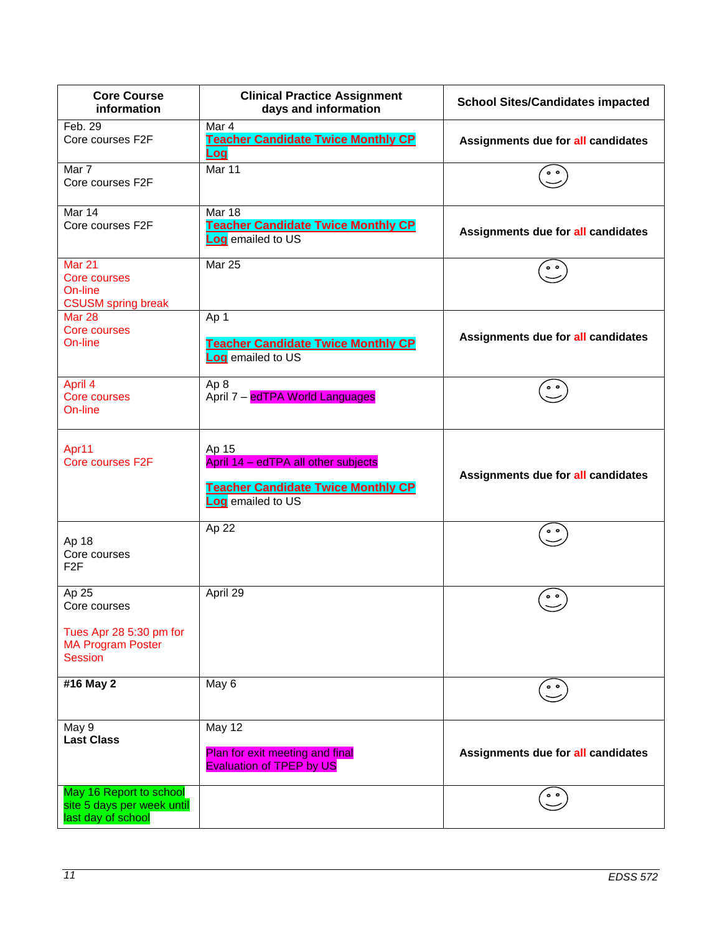| <b>Core Course</b><br>information                                                              | <b>Clinical Practice Assignment</b><br><b>School Sites/Candidates impacted</b><br>days and information         |                                    |
|------------------------------------------------------------------------------------------------|----------------------------------------------------------------------------------------------------------------|------------------------------------|
| Feb. 29<br>Core courses F2F                                                                    | Mar 4<br><b>Teacher Candidate Twice Monthly CP</b><br>Log                                                      | Assignments due for all candidates |
| Mar 7<br>Core courses F2F                                                                      | Mar 11                                                                                                         | $^{\circ}$                         |
| Mar 14<br>Core courses F2F                                                                     | Mar 18<br><b>Teacher Candidate Twice Monthly CP</b><br>Log emailed to US                                       | Assignments due for all candidates |
| <b>Mar 21</b><br><b>Core courses</b><br>On-line<br><b>CSUSM spring break</b>                   | <b>Mar 25</b>                                                                                                  |                                    |
| <b>Mar 28</b><br><b>Core courses</b><br>On-line                                                | Ap 1<br><b>Teacher Candidate Twice Monthly CP</b><br>Log emailed to US                                         | Assignments due for all candidates |
| April 4<br>Core courses<br>On-line                                                             | Ap <sub>8</sub><br>April 7 - edTPA World Languages                                                             |                                    |
| Apr11<br>Core courses F2F                                                                      | Ap 15<br>April 14 - edTPA all other subjects<br><b>Teacher Candidate Twice Monthly CP</b><br>Log emailed to US | Assignments due for all candidates |
| Ap 18<br>Core courses<br>F <sub>2F</sub>                                                       | Ap 22                                                                                                          |                                    |
| Ap 25<br>Core courses<br>Tues Apr 28 5:30 pm for<br><b>MA Program Poster</b><br><b>Session</b> | April 29                                                                                                       | $\circ$ $\circ$                    |
| #16 May 2                                                                                      | May 6                                                                                                          | $^{\circ}$                         |
| May 9<br><b>Last Class</b>                                                                     | May 12<br>Plan for exit meeting and final<br><b>Evaluation of TPEP by US</b>                                   | Assignments due for all candidates |
| May 16 Report to school<br>site 5 days per week until<br>last day of school                    |                                                                                                                |                                    |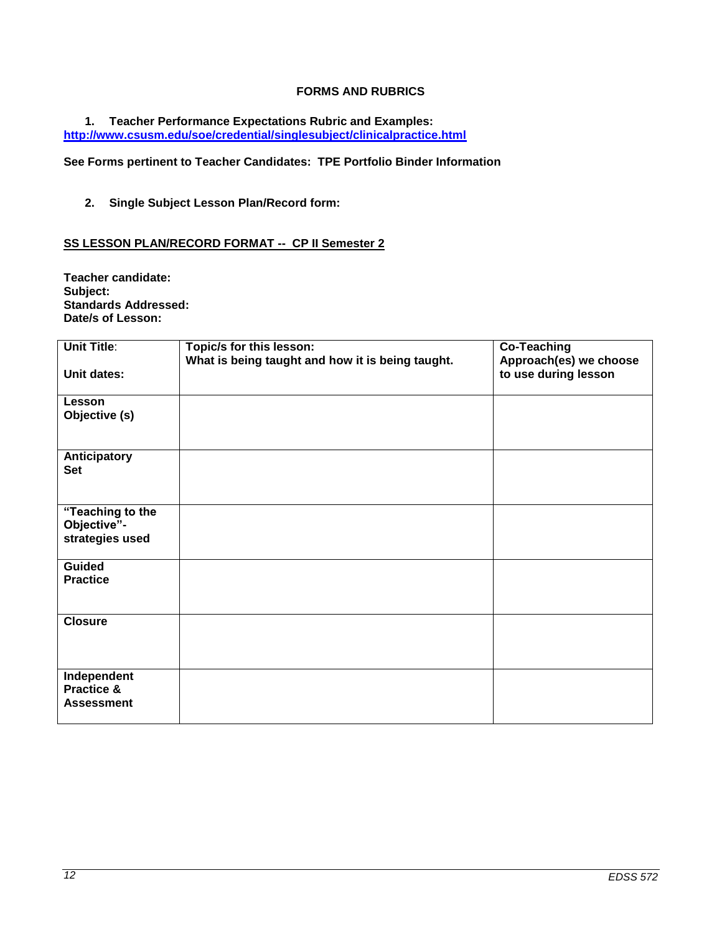## **FORMS AND RUBRICS**

#### <span id="page-11-0"></span>**1. Teacher Performance Expectations Rubric and Examples: <http://www.csusm.edu/soe/credential/singlesubject/clinicalpractice.html>**

**See Forms pertinent to Teacher Candidates: TPE Portfolio Binder Information**

**2. Single Subject Lesson Plan/Record form:**

#### <span id="page-11-1"></span>**SS LESSON PLAN/RECORD FORMAT -- CP II Semester 2**

**Teacher candidate: Subject: Standards Addressed: Date/s of Lesson:**

| <b>Unit Title:</b>                                 | Topic/s for this lesson:<br>What is being taught and how it is being taught. | <b>Co-Teaching</b><br>Approach(es) we choose |
|----------------------------------------------------|------------------------------------------------------------------------------|----------------------------------------------|
| <b>Unit dates:</b>                                 |                                                                              | to use during lesson                         |
| Lesson<br>Objective (s)                            |                                                                              |                                              |
| Anticipatory<br><b>Set</b>                         |                                                                              |                                              |
| "Teaching to the<br>Objective"-<br>strategies used |                                                                              |                                              |
| <b>Guided</b><br><b>Practice</b>                   |                                                                              |                                              |
| <b>Closure</b>                                     |                                                                              |                                              |
| Independent<br>Practice &<br><b>Assessment</b>     |                                                                              |                                              |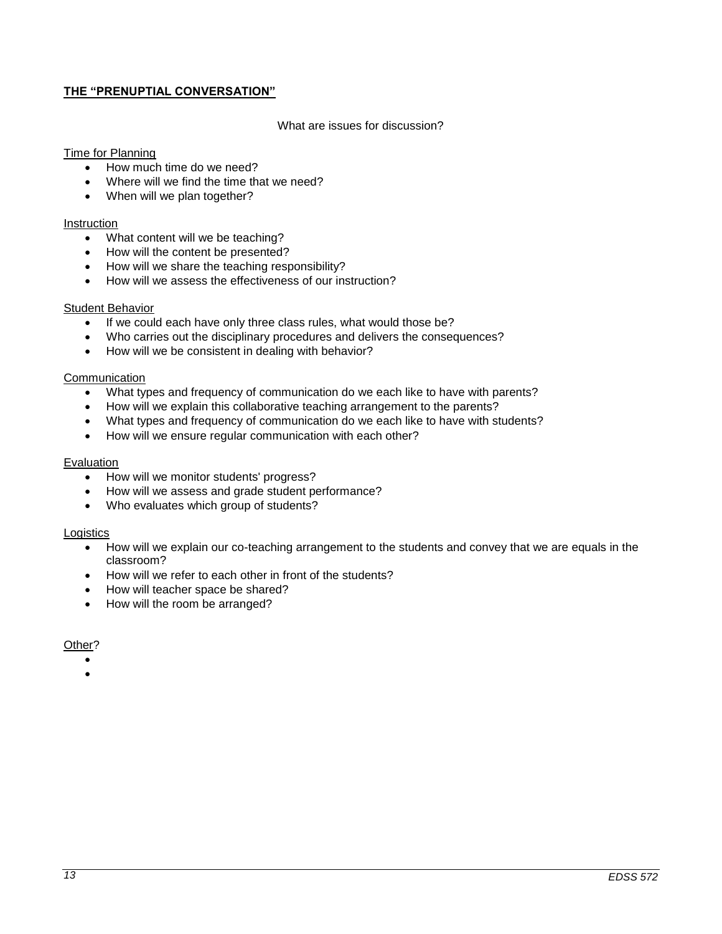## <span id="page-12-0"></span>**THE "PRENUPTIAL CONVERSATION"**

#### What are issues for discussion?

#### Time for Planning

- How much time do we need?
- Where will we find the time that we need?
- When will we plan together?

#### **Instruction**

- What content will we be teaching?
- How will the content be presented?
- How will we share the teaching responsibility?
- How will we assess the effectiveness of our instruction?

#### Student Behavior

- If we could each have only three class rules, what would those be?
- Who carries out the disciplinary procedures and delivers the consequences?
- How will we be consistent in dealing with behavior?

#### **Communication**

- What types and frequency of communication do we each like to have with parents?
- How will we explain this collaborative teaching arrangement to the parents?
- What types and frequency of communication do we each like to have with students?
- How will we ensure regular communication with each other?

#### Evaluation

- How will we monitor students' progress?
- How will we assess and grade student performance?
- Who evaluates which group of students?

#### **Logistics**

- How will we explain our co-teaching arrangement to the students and convey that we are equals in the classroom?
- How will we refer to each other in front of the students?
- How will teacher space be shared?
- How will the room be arranged?

#### Other?

 $\bullet$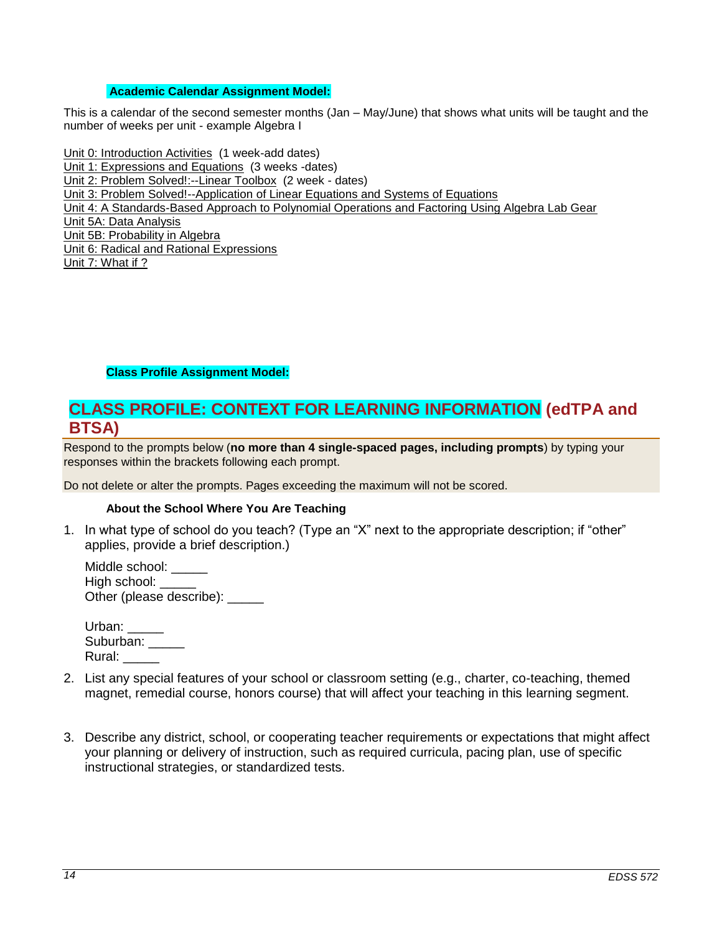## <span id="page-13-0"></span>**Academic Calendar Assignment Model:**

This is a calendar of the second semester months (Jan – May/June) that shows what units will be taught and the number of weeks per unit - example Algebra I

Unit 0: [Introduction Activities](http://wveis.k12.wv.us/teach21/public/Uplans/UPview.cfm?action=V1&tsele1=2&tsele2=116&tsele3i=573) (1 week-add dates) [Unit 1: Expressions and Equations](http://wveis.k12.wv.us/teach21/public/Uplans/UPview.cfm?action=V1&tsele1=2&tsele2=116&tsele3i=570) (3 weeks -dates) [Unit 2: Problem Solved!:--Linear Toolbox](http://wveis.k12.wv.us/teach21/public/Uplans/UPview.cfm?action=V1&tsele1=2&tsele2=116&tsele3i=572) (2 week - dates) [Unit 3: Problem Solved!--Application of Linear Equations and Systems of Equations](http://wveis.k12.wv.us/teach21/public/Uplans/UPview.cfm?action=V1&tsele1=2&tsele2=116&tsele3i=566) [Unit 4: A Standards-Based Approach to Polynomial Operations and Factoring Using Algebra Lab Gear](http://wveis.k12.wv.us/teach21/public/Uplans/UPview.cfm?action=V1&tsele1=2&tsele2=116&tsele3i=569) [Unit 5A: Data Analysis](http://wveis.k12.wv.us/teach21/public/Uplans/UPview.cfm?action=V1&tsele1=2&tsele2=116&tsele3i=567) [Unit 5B: Probability in Algebra](http://wveis.k12.wv.us/teach21/public/Uplans/UPview.cfm?action=V1&tsele1=2&tsele2=116&tsele3i=565) [Unit 6: Radical and Rational Expressions](http://wveis.k12.wv.us/teach21/public/Uplans/UPview.cfm?action=V1&tsele1=2&tsele2=116&tsele3i=568) Unit 7: What if ?

#### **Class Profile Assignment Model:**

## <span id="page-13-1"></span>**CLASS PROFILE: CONTEXT FOR LEARNING INFORMATION (edTPA and BTSA)**

Respond to the prompts below (**no more than 4 single-spaced pages, including prompts**) by typing your responses within the brackets following each prompt.

Do not delete or alter the prompts. Pages exceeding the maximum will not be scored.

#### **About the School Where You Are Teaching**

<span id="page-13-2"></span>1. In what type of school do you teach? (Type an "X" next to the appropriate description; if "other" applies, provide a brief description.)

Middle school: \_\_\_\_\_ High school: Other (please describe):

| Urban:    |  |
|-----------|--|
| Suburban: |  |
| Rural:    |  |

- 2. List any special features of your school or classroom setting (e.g., charter, co-teaching, themed magnet, remedial course, honors course) that will affect your teaching in this learning segment.
- 3. Describe any district, school, or cooperating teacher requirements or expectations that might affect your planning or delivery of instruction, such as required curricula, pacing plan, use of specific instructional strategies, or standardized tests.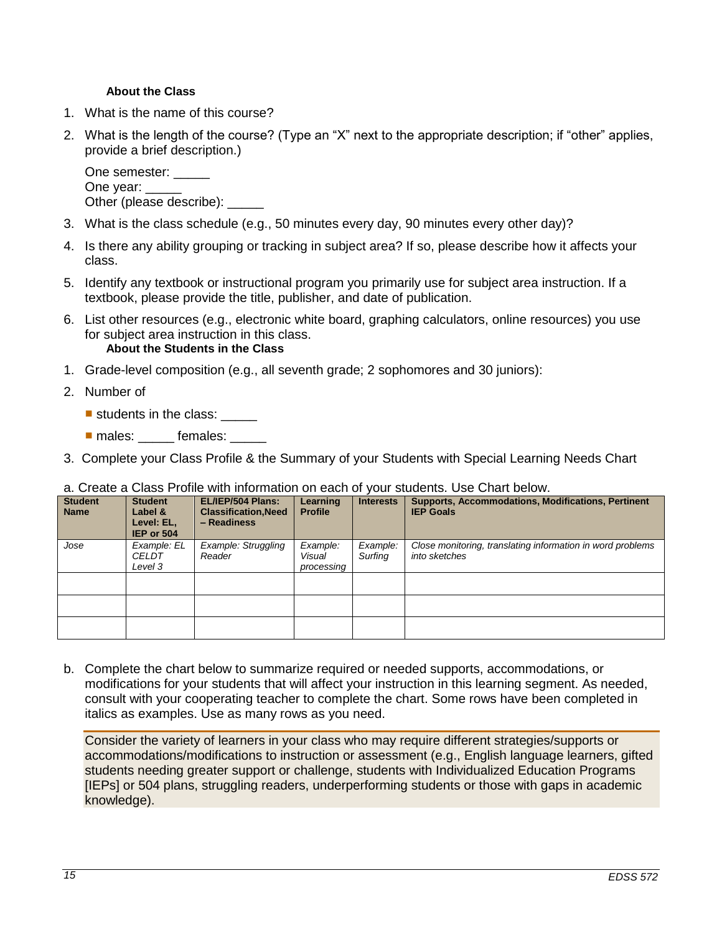## **About the Class**

- <span id="page-14-0"></span>1. What is the name of this course?
- 2. What is the length of the course? (Type an "X" next to the appropriate description; if "other" applies, provide a brief description.)

One semester: \_\_\_\_\_ One year: Other (please describe):

- 3. What is the class schedule (e.g., 50 minutes every day, 90 minutes every other day)?
- 4. Is there any ability grouping or tracking in subject area? If so, please describe how it affects your class.
- 5. Identify any textbook or instructional program you primarily use for subject area instruction. If a textbook, please provide the title, publisher, and date of publication.
- 6. List other resources (e.g., electronic white board, graphing calculators, online resources) you use for subject area instruction in this class. **About the Students in the Class**
- <span id="page-14-1"></span>1. Grade-level composition (e.g., all seventh grade; 2 sophomores and 30 juniors):
- 2. Number of
	- students in the class: \_\_\_\_\_
	- **nales:** females:
- 3. Complete your Class Profile & the Summary of your Students with Special Learning Needs Chart

#### a. Create a Class Profile with information on each of your students. Use Chart below.

| <b>Student</b><br><b>Name</b> | <b>Student</b><br>Label &<br>Level: EL,<br>IEP or 504 | EL/IEP/504 Plans:<br><b>Classification, Need</b><br>- Readiness | Learning<br><b>Profile</b>       | <b>Interests</b>    | <b>Supports, Accommodations, Modifications, Pertinent</b><br><b>IEP Goals</b> |
|-------------------------------|-------------------------------------------------------|-----------------------------------------------------------------|----------------------------------|---------------------|-------------------------------------------------------------------------------|
| Jose                          | Example: EL<br><b>CELDT</b><br>Level 3                | <b>Example: Struggling</b><br>Reader                            | Example:<br>Visual<br>processing | Example:<br>Surfing | Close monitoring, translating information in word problems<br>into sketches   |
|                               |                                                       |                                                                 |                                  |                     |                                                                               |
|                               |                                                       |                                                                 |                                  |                     |                                                                               |
|                               |                                                       |                                                                 |                                  |                     |                                                                               |

b. Complete the chart below to summarize required or needed supports, accommodations, or modifications for your students that will affect your instruction in this learning segment. As needed, consult with your cooperating teacher to complete the chart. Some rows have been completed in italics as examples. Use as many rows as you need.

Consider the variety of learners in your class who may require different strategies/supports or accommodations/modifications to instruction or assessment (e.g., English language learners, gifted students needing greater support or challenge, students with Individualized Education Programs [IEPs] or 504 plans, struggling readers, underperforming students or those with gaps in academic knowledge).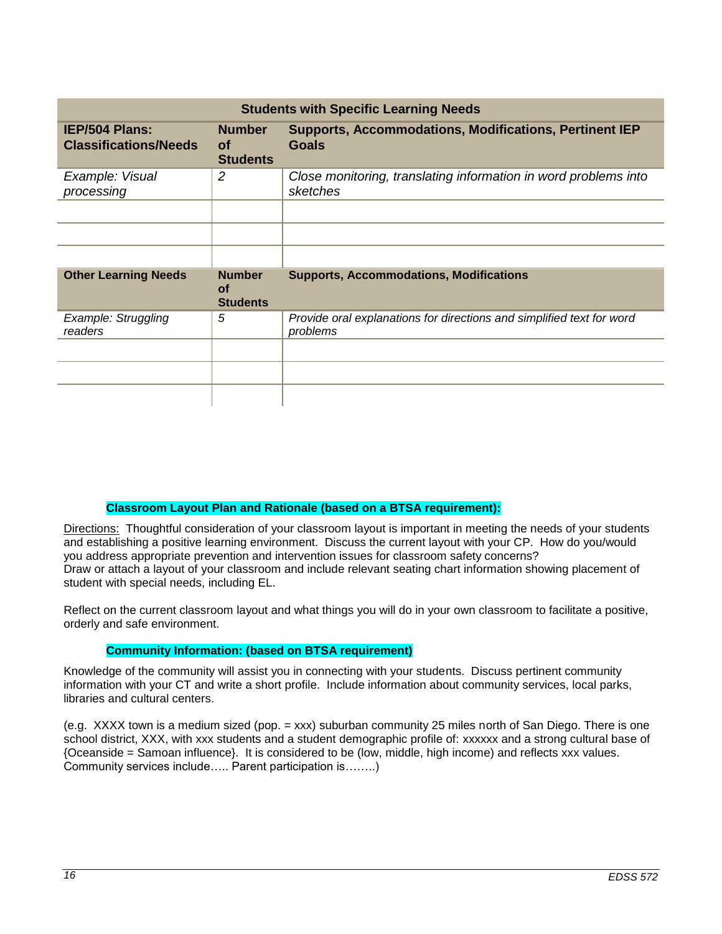| <b>Students with Specific Learning Needs</b>          |                                               |                                                                                   |  |  |
|-------------------------------------------------------|-----------------------------------------------|-----------------------------------------------------------------------------------|--|--|
| <b>IEP/504 Plans:</b><br><b>Classifications/Needs</b> | <b>Number</b><br><b>of</b><br><b>Students</b> | <b>Supports, Accommodations, Modifications, Pertinent IEP</b><br><b>Goals</b>     |  |  |
| Example: Visual<br>processing                         | 2                                             | Close monitoring, translating information in word problems into<br>sketches       |  |  |
|                                                       |                                               |                                                                                   |  |  |
| <b>Other Learning Needs</b>                           | <b>Number</b><br>Οf<br><b>Students</b>        | <b>Supports, Accommodations, Modifications</b>                                    |  |  |
| Example: Struggling<br>readers                        | 5                                             | Provide oral explanations for directions and simplified text for word<br>problems |  |  |
|                                                       |                                               |                                                                                   |  |  |

## **Classroom Layout Plan and Rationale (based on a BTSA requirement):**

<span id="page-15-0"></span>Directions: Thoughtful consideration of your classroom layout is important in meeting the needs of your students and establishing a positive learning environment. Discuss the current layout with your CP. How do you/would you address appropriate prevention and intervention issues for classroom safety concerns? Draw or attach a layout of your classroom and include relevant seating chart information showing placement of student with special needs, including EL.

Reflect on the current classroom layout and what things you will do in your own classroom to facilitate a positive, orderly and safe environment.

## **Community Information: (based on BTSA requirement)**

<span id="page-15-1"></span>Knowledge of the community will assist you in connecting with your students. Discuss pertinent community information with your CT and write a short profile. Include information about community services, local parks, libraries and cultural centers.

(e.g. XXXX town is a medium sized (pop. = xxx) suburban community 25 miles north of San Diego. There is one school district, XXX, with xxx students and a student demographic profile of: xxxxxx and a strong cultural base of {Oceanside = Samoan influence}. It is considered to be (low, middle, high income) and reflects xxx values. Community services include….. Parent participation is……..)